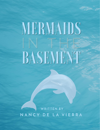## MERMAIDS  $\blacksquare$ BASEMENT

**WRITTEN BY** NANCY DE LA VIERRA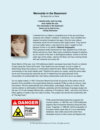## **Mermaids in the Basement**

By Nancy De La Vierra

*I started early, took my dog, And visited the sea; The mermaids in the basement Came out to look at me.… --***Emily Dickinson** 



I inherited from my father a compelling love of the sea and those creatures who inhabit it. Dolphins, in particular, have mystified and inspired humanity throughout the ages. Only the most callous individuals would not be moved by their playful antics. They remind us of our better selves. I was about four when I caught my first glimpse of them in my father's *National Geographic.* Their perpetual smiles beckoned me, their apparent love of life and felicity warmed my heart. Many early civilizations thought of dolphins as our cousins of the sea. In astrological analysis, Cancer is the first *water* sign of the zodiac, ruled by the Moon and has a strong kinship with sea creatures and ocean life.

Since March of this year, over 120 bottlenose dolphin carcasses have been found in a network of bays along the Texas Gulf Coast. Their deaths are man-wrought; it's just a matter of determining what toxic poisons or combinations dealt the blow. Marine biologist Nina Young commenting on the recent deaths said: "Dolphins live along our coasts, using the same water we do and consuming the same fish we eat. If indeed they are dying because of the consumption of contaminated fish, then these contaminants could wind up on our plates."

On our plates indeed. A 1991 Consumer Report found that 43 percent of the salmon and 25 percent of the swordfish in the supermarket shelves contained PCBs as well as mercury, lead and arsenic. We are systematically and unfortunately, quite legally, killing our oceans. Most marine pollution is attributable to fertilizers, pesticides and the discharge of sewage sludge into the sea. A 9.5 mile sewage effluent pipe, underway in Providence, Mass., will pump more than a billion gallons of waste a day into Cape Cod Bay. This project has earned the euphemistic title of "The Big Flush."



PCBs (polychlorinated biphenyls) suppress the immune system. In 1987-88, over 2,500 bottlenose dolphins died of bacterial infections along the East Coast. Tragically, in 1988-89, half the population of European harbor seals died of a virus resembling distemper. Sea turtles around the world have developed tumors on their necks and flippers that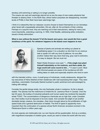develop until swimming or eating is no longer possible.

The oceans are vast and seemingly eternal but so are the seas of man-made pollutants that threaten to destroy them. In the North Sea, where harbor porpoises are disappearing, recorded levels of PCBs in their flesh have been alarmingly high.

I think it is noteworthy that our cetacean *cousins* choose to beach themselves on our doorsteps when faced with unspeakable adversities. We are, after all, the architects of their undoing. Perhaps on a psychic level, they are reaching out to their executioners, asking for mercy and, more importantly, extending a warning. In 1854, Chief Seattle, addressing white civilization, issued a timely admonition:

## *What is man without the beasts? If all the beasts were gone, men would die from a great loneliness of the spirit. For whatever happens to the beasts soon happens to man.*



Species of plants and animals are exiting our planet at breathtaking speed. It is a situation so dire that it is an onerous task to speak of it with any kind of patience. As one after another makes their way down that long, gray road to extinction, it is easy to despair. But we must not.

Ralph Waldo Emerson once said: *"… if the single man plant himself indomitably on his instincts, and there abide, the huge world will come round to him.…"* A case in point. Most well informed people are aware of the murderous toll driftnetting takes on seals and especially dolphins who tend to swim

with the intended victims—tuna. A small group of individuals, mostly adolescents, deluged the top executives of Heinz-Starkist at their residences with mail expressing their anger. They were relentless, *indomitable.* Eventually Starkist buckled to public sentiment and acknowledged by halting drift netting!

Consider the gentle beluga whale, the only freshwater whale in existence. Its fat is already sealed. The species has the misfortune to inhabit the St. Lawrence River in Canada. Over the last 40 years, the buildup of industrial pollutants and human waste has rendered the beautiful whale TOXIC. The concentrations of dangerous chemicals are so high that, under Canadian law, their bodies must be disposed of as toxic waste. And consider the plight of yet another decidedly benign creature, the manatee—their doom brought about by the proliferation of highspeed boats and a general destruction of habitat. The thrill of speed is apparently more important than the continuation of a species whose North American ancestors evolved in the Pleistocene Epoch a million years ago.

As more species are irretrievably lost, our own futures will be questionable. And as a corollary, with magnificent examples of creation gone, would you want to share the world with the sorry